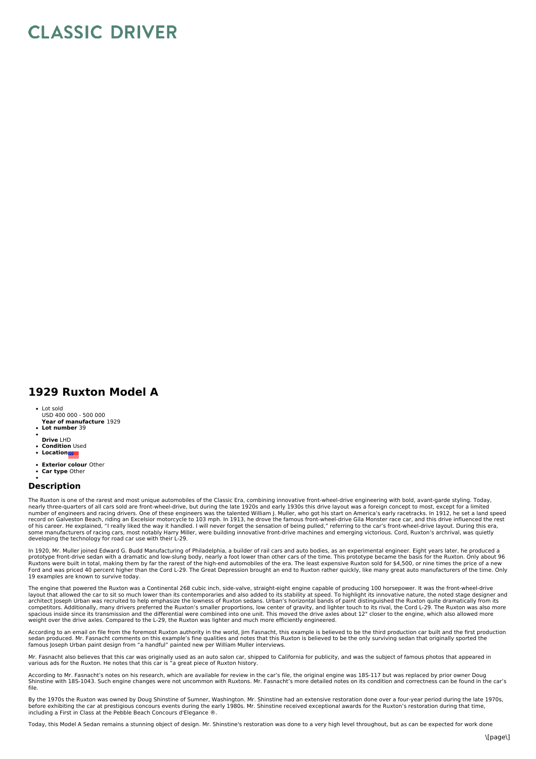## **CLASSIC DRIVER**

## **1929 Ruxton Model A**

- Lot sold
- **Year of manufacture** 1929 USD 400 000 - 500 000
- **Lot number** 39
- **Drive** LHD
- **Condition** Used
- **Location**
- **Exterior colour** Other
- $\bullet$ **Car type** Other

## **Description**

The Ruxton is one of the rarest and most unique automobiles of the Classic Era, combining innovative front-wheel-drive engineering with bold, avant-garde styling. Today,<br>nearly three-quarters of all cars sold are front-whe record on Galveston Beach, riding an Excelsior motorcycle to 103 mph. In 1913, he drove the famous front-wheel-drive Gila Monster race car, and this drive influenced the rest<br>of his career. He explained, "I really liked th some manufacturers of racing cars, most notably Harry Miller, were building innovative front-drive machines and emerging victorious. Cord, Ruxton's archrival, was quietly<br>developing the technology for road car use with the

In 1920, Mr. Muller joined Edward G. Budd Manufacturing of Philadelphia, a builder of rail cars and auto bodies, as an experimental engineer. Eight years later, he produced a<br>prototype front-drive sedan with a dramatic and Ruxtons were built in total, making them by far the rarest of the high-end automobiles of the era. The least expensive Ruxton sold for \$4,500, or nine times the price of a new<br>Ford and was priced 40 percent higher than the 19 examples are known to survive today.

The engine that powered the Ruxton was a Continental 268 cubic inch, side-valve, straight-eight engine capable of producing 100 horsepower. It was the front-wheel-drive layout that allowed the car to sit so much lower than its contemporaries and also added to its stability at speed. To highlight its innovative nature, the noted stage designer and architect Joseph Urban was recruited to help emphasize the lowness of Ruxton sedans. Urban's horizontal bands of paint distinguished the Ruxton quite dramatically from its<br>competitors. Additionally, many drivers preferred spacious inside since its transmission and the differential were combined into one unit. This moved the drive axles about 12" closer to the engine, which also allowed more weight over the drive axles. Compared to the L-29, the Ruxton was lighter and much more efficiently engineered.

According to an email on file from the foremost Ruxton authority in the world, Jim Fasnacht, this example is believed to be the third production car built and the first production sedan produced. Mr. Fasnacht comments on this example's fine qualities and notes that this Ruxton is believed to be the only surviving sedan that originally sported the<br>famous Joseph Urban paint design from "a handful" pai

Mr. Fasnacht also believes that this car was originally used as an auto salon car, shipped to California for publicity, and was the subject of famous photos that appeared in<br>various ads for the Ruxton. He notes that this c

According to Mr. Fasnacht's notes on his research, which are available for review in the car's file, the original engine was 18S-117 but was replaced by prior owner Doug<br>Shinstine with 18S-1043. Such engine changes were no file.

By the 1970s the Ruxton was owned by Doug Shinstine of Sumner, Washington. Mr. Shinstine had an extensive restoration done over a four-year period during the late 1970s,<br>before exhibiting the car at prestigious concours ev including a First in Class at the Pebble Beach Concours d'Elegance ®.

Today, this Model A Sedan remains a stunning object of design. Mr. Shinstine's restoration was done to a very high level throughout, but as can be expected for work done